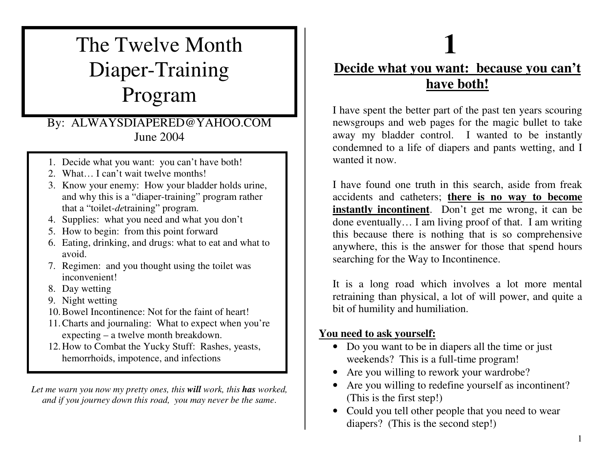## The Twelve Month Diaper-Training Program

#### By: ALWAYSDIAPERED@YAHOO.COM June 2004

- 1. Decide what you want: you can't have both!
- 2. What... I can't wait twelve months!
- 3. Know your enemy: How your bladder holds urine, a n d w h y this is <sup>a</sup> " dia p er-trainin g " pro gra m rath er that a "toilet-*de*training" program.
- 4. S u p plies: <sup>w</sup> h at y o u n e e d a n d w h at y o u d o n't
- 5. H o w to b e gin: fro m this p oint forw ard
- 6. Eating, drinking, and drugs: what to eat and what to avoid.
- 7. R e gim e n: a n d y o u th o u g ht usin g th e toilet <sup>w</sup> as inconvenient!
- 8. Day wetting
- 9. Nig ht w ettin g
- 10. Bowel Incontinence: Not for the faint of heart!
- 11.C h arts a n d jo urn alin g: W h at to e x p e ct w h e n y o u're expecting – a twelve month breakdown.
- 12. How to Combat the Yucky Stuff: Rashes, yeasts, hemorrhoids, impotence, and infections

Let me warn you now my pretty ones, this **will** work, this **has** worked, and if you journey down this road, you may never be the same.

## **1**<u>Decide what you want: because you can't</u> **h a v e b o t h!**

I have spent the better part of the past ten years scouring newsgroups and web pages for the magic bullet to take away my bladder control. I wanted to be instantly condemned to a life of diapers and pants wetting, and I wanted it <sup>n</sup> ow.

I have found one truth in this search, aside from freak accidents and catheters; **<u>there is no way to become</u> instantly incontinent**. Don't get me wrong, it can be done eventually... I am living proof of that. I am writing this because there is nothing that is so comprehensive anywhere, this is the answer for those that spend hours searching for the Way to Incontinence.

It is a long road which involves a lot more mental retraining than physical, a lot of will power, and quite a bit of humility and humiliation.

#### **Y o u n e e d to a s k y o u r s elf:**

- Do you want to be in diapers all the time or just weekends? This is a full-time program!
- Are you willing to rework your wardrobe?
- Are you willing to redefine yourself as incontinent? (T his is th e first ste p!)
- Could you tell other people that you need to wear diapers? (This is the second step!)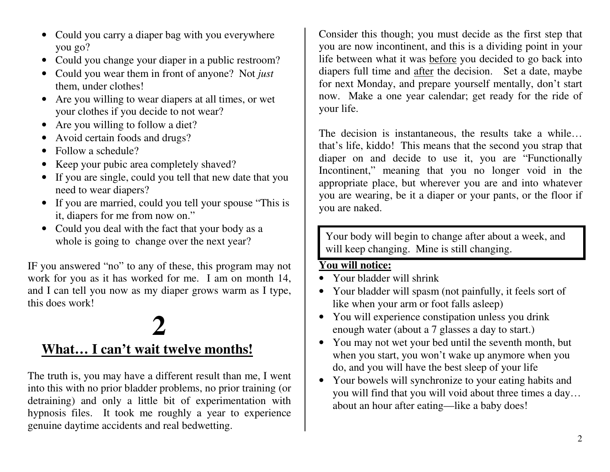- Could you carry a diaper bag with you everywhere you go?
- Could you change your diaper in a public restroom?
- Could you wear them in front of anyone? Not *just* them, under clothes!
- Are you willing to wear diapers at all times, or wet your clothes if you decide to not wear?
- Are you willing to follow a diet?
- Avoid certain foods and drugs?
- Follow a schedule?
- Keep your pubic area completely shaved?
- If you are single, could you tell that new date that you need to wear diapers?
- If you are married, could you tell your spouse "This is it, diapers for me from now on."
- Could you deal with the fact that your body as a whole is going to change over the next year?

IF you answered "no" to any of these, this program may not work for you as it has worked for me. I am on month 14, and I can tell you now as my diaper grows warm as I type, this does work!

## **2What...** I can't wait twelve months!

The truth is, you may have a different result than me, I went into this with no prior bladder problems, no prior training (or detraining) and only a little bit of experimentation with hypnosis files. It took me roughly a year to experience genuine daytime accidents and real bedwetting.

Consider this though; you must decide as the first step that you are now incontinent, and this is a dividing point in your life between what it was <u>before</u> you decided to go back into diapers full time and <u>after</u> the decision. Set a date, maybe for next Monday, and prepare yourself mentally, don't start now. Make a one year calendar; get ready for the ride of your life.

The decision is instantaneous, the results take a while... that's life, kiddo! This means that the second you strap that diaper on and decide to use it, you are "Functionally Incontinent," meaning that you no longer void in the appropriate place, but wherever you are and into whatever you are wearing, be it a diaper or your pants, or the floor if you are naked.

Your body will begin to change after about a week, and will keep changing. Mine is still changing.

#### **Y o u will n otic e:**

- Your bladder will shrink
- Your bladder will spasm (not painfully, it feels sort of like when your arm or foot falls asleep)
- You will experience constipation unless you drink enough water (about a 7 glasses a day to start.)
- You may not wet your bed until the seventh month, but when you start, you won't wake up anymore when you d o, a n d y o u will h a v e th e b est sle e p o f y o u r life
- Your bowels will synchronize to your eating habits and you will find that you will void about three times a day... about an hour after eating—like a baby does!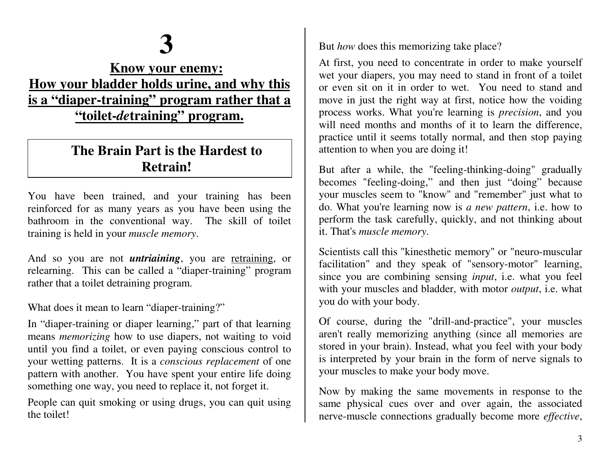# **3**

### **<u>Know your enemy:</u>** <u>How your bladder holds urine, and why this</u> <u>is a "diaper-training" program rather that a</u> **" t oile t-***de* **t r ainin g " p r o g r a m.**

### **TheBrainPart istheHardesttoRetrain!**

You have been trained, and your training has been reinforced for as many years as you have been using the bathroom in the conventional way. The skill of toilet training is held in your *muscle memory*.

And so you are not *untriaining*, you are <u>retraining</u>, or relearning. This can be called a "diaper-training" program rather that a toilet detraining program.

What does it mean to learn "diaper-training?"

In "diaper-training or diaper learning," part of that learning means *memorizing* how to use diapers, not waiting to void u ntil y o u fin d a toilet, <sup>o</sup> r e v e n p a yin g c o nscio us c o ntr ol to your wetting patterns. It is a *conscious replacement* of one pattern with another. You have spent your entire life doing something one way, you need to replace it, not forget it.

People can quit smoking or using drugs, you can quit using the toilet!

But *how* does this memorizing take place?

At first, you need to concentrate in order to make yourself wet your diapers, you may need to stand in front of a toilet or even sit on it in order to wet. You need to stand and move in just the right way at first, notice how the voiding p rocess works. What y ou're le arning is *p recision*, a ndy ouwill need months and months of it to learn the difference, practice until it seems totally normal, and then stop paying attention to when you are doing it!

But after a while, the "feeling-thinking-doing" gradually becomes "feeling-doing," and then just "doing" because your muscles seem to "know" and "remember" just what to do. What you're learning now is *a new pattern*, i.e. how to perform the task carefully, quickly, and not thinking about it. T h at's *m u s cle m e m o ry*.

Scientists call this "kinesthetic memory" or "neuro-muscular facilitation" and they speak of "sensory-motor" learning, since you are combining sensing *input*, i.e. what you feel with your muscles and bladder, with motor *output*, i.e. what you do with your body.

Of course, during the "drill-and-practice", your muscles aren't really memorizing anything (since all memories are stored in your brain). Instead, what you feel with your body is interpreted by your brain in the form of nerve signals to your muscles to make your body move.

Now by making the same movements in response to the same physical cues over and over again, the associated nerve-muscle connections gradually become more *effective*,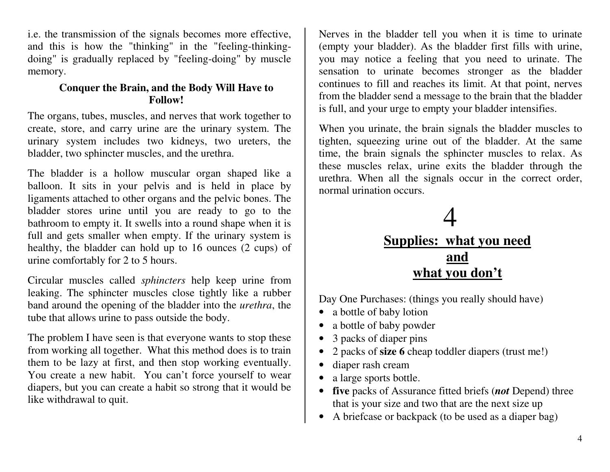i.e. the transmission of the signals becomes more effective, and this is how the "thinking" in the "feeling-thinkingdoing" is gradually replaced by "feeling-doing" by muscle memory.

#### **Conquer the Brain, and the Body Will Have to Follow!**

The organs, tubes, muscles, and nerves that work together to create, store, and carry urine are the urinary system. The urinary system includes two kidneys, two ureters, the bladder, tw o sp hincter muscles, <sup>a</sup> nd th eur ethr a.

The bladder is a hollow muscular organ shaped like a balloon. It sits in your pelvis and is held in place by ligaments attached to other organs and the pelvic bones. The bladder stores urine until you are ready to go to the bathroom to empty it. It swells into a round shape when it is full and gets smaller when empty. If the urinary system is healthy, the bladder can hold up to 16 ounces (2 cups) of urine comfortably for 2 to 5 hours.

Circular muscles called *sphincters* help keep urine from leaking. The sphincter muscles close tightly like a rubber band around the opening of the bladder into the *urethra*, the tube that allows urine to pass outside the body.

The problem I have seen is that everyone wants to stop these from working all together. What this method does is to train them to be lazy at first, and then stop working eventually. You create a new habit. You can't force yourself to wear diapers, but you can create a habit so strong that it would be lik e with d r a w al to q uit.

Nerves in the bladder tell you when it is time to urinate (empty your bladder). As the bladder first fills with urine, you may notice a feeling that you need to urinate. The sensation to urinate becomes stronger as the bladder continues to fill and reaches its limit. At that point, nerves from the bladder send a message to the brain that the bladder is full, and your urge to empty your bladder intensifies.

When you urinate, the brain signals the bladder muscles to tighten, squeezing urine out of the bladder. At the same time, the brain signals the sphincter muscles to relax. As these muscles relax, urine exits the bladder through the urethra. When all the signals occur in the correct order, normal urination occurs.

## 4**<u>Supplies: what you need</u> a ndw h a t y o u d o n't**

Day One Purchases: (things you really should have)

- a bottle of baby lotion
- $\bullet$ a bottle of baby powder
- $\bullet$ 3 p a c ks o f dia p e r pins
- 2 packs of **size 6** cheap toddler diapers (trust me!)
- diaper rash cream
- a large sports bottle.
- **five** packs of Assurance fitted briefs (*not* Depend) three that is your size and two that are the next size up
- A briefcase or backpack (to be used as a diaper bag)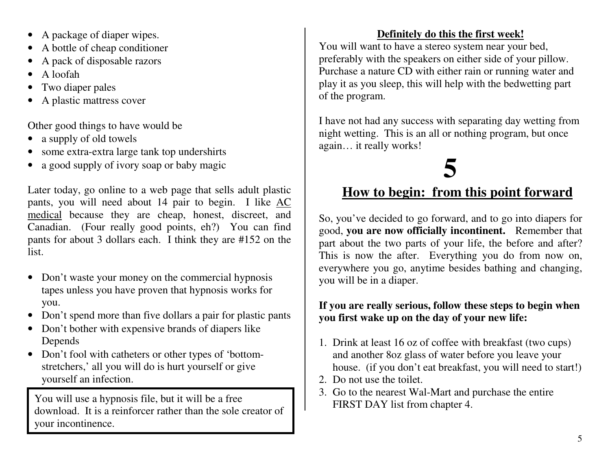- $\bullet$ A package of diaper wipes.
- $\bullet$ A bottle of cheap conditioner
- $\bullet$ A pack of disposable razors
- $\bullet$ A lo ofah
- $\bullet$ Two diaper pales
- $\bullet$ A plastic mattress cover

Other good things to have would be

- $\bullet$ a su p ply o f old to wels
- some extra-extra large tank top undershirts
- $\bullet$ a good supply of ivory soap or baby magic

Later today, go online to a web page that sells adult plastic pants, you will need about 14 pair to begin. I like AC medical because they are cheap, honest, discreet, and Canadian. (Four really good points, eh?) You can find pants for about 3 dollars each. I think they are #152 on the list.

- Don't waste your money on the commercial hypnosis tapes unless you have proven that hypnosis works for you.
- $\bullet$ Don't spend more than five dollars a pair for plastic pants
- Don't bother with expensive brands of diapers like Depends
- Don't fool with catheters or other types of 'bottomstretchers,' all you will do is hurt yourself or give y o u rself a n in fe ctio n.

You will use a hypnosis file, but it will be a free<br>FIRST DAY list from chapter 4 download. It is a reinforcer rather than the sole creator of y our incontinence.

#### **Definitely do this thefirst week!**

You will want to have a stereo system near your bed, preferably with the speakers on either side of your pillow. Purchase a nature CD with either rain or running water and play it as you sleep, this will help with the bedwetting part of the program.

I have not had any success with separating day wetting from night wetting. This is an all or nothing program, but once again... it really works!

# **5**

### **<u>How to begin: from this point forward</u>**

So, you've decided to go forward, and to go into diapers for good, you are now officially incontinent. Remember that part about the two parts of your life, the before and after? This is now the after. Everything you do from now on, everywhere you go, anytime besides bathing and changing, y o u will b e in a diap e r.

#### If you are really serious, follow these steps to begin when you first wake up on the day of your new life:

- 1. Drink at least 16 oz of coffee with breakfast (two cups) and another 80z glass of water before you leave your house. (if you don't eat breakfast, you will need to start!)
- 2. Do not use the toilet.
- 3. Go to the nearest Wal-Mart and purchase the entire FIRST DAY list from chapter 4.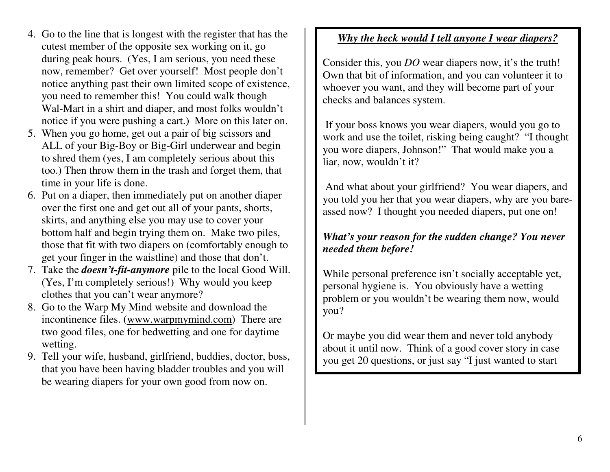- 4. Go to the line that is longest with the register that has the cutest member of the opposite sex working on it, go during peak hours. (Yes, I am serious, you need these now, remember? Get over yourself! Most people don't notice anything past their own limited scope of existence, you need to remember this! You could walk though Wal-Mart in a shirt and diaper, and most folks wouldn't notice if you were pushing a cart.) More on this later on.
- 5. When you go home, get out a pair of big scissors and ALL of your Big-Boy or Big-Girl underwear and begin to shred them (yes, I am completely serious about this too.) Then throw them in the trash and forget them, that time in your life is done.
- 6. Put on a diaper, then immediately put on another diaper over the first one and get out all of your pants, shorts, skirts, and anything else you may use to cover your bottom half and begin trying them on. Make two piles, those that fit with two diapers on (comfortably enough to g et y our fing er in th ewaistline) <sup>a</sup> nd th ose that don't.
- 7. Take the *doesn't-fit-anymore* pile to the local Good Will. (Yes, I'm completely serious!) Why would you keep clothes that you can't wear anymore?
- 8. Go to the Warp My Mind website and download the incontinence files. (www.warpmymind.com) There are two good files, one for bedwetting and one for daytime w ettin g.
- 9. T ell y o u r wife, h usb a n d, girlfrie n d, b u d dies, d o cto r, b oss, that you have been having bladder troubles and you will be wearing diapers for your own good from now on.

#### <u>Why the heck would I tell anyone I wear diapers?</u>

Consider this, you *DO* wear diapers now, it's the truth! Own that bit of information, and you can volunteer it to whoever you want, and they will become part of your checks and balances system.

If your boss knows you wear diapers, would you go to work and use the toilet, risking being caught? "I thought you wore diapers, Johnson!" That would make you a liar, <sup>n</sup> ow, w ouldn't it?

And what about your girlfriend? You wear diapers, and you told you her that you wear diapers, why are you bareassed now? I thought you needed diapers, put one on!

#### What's your reason for the sudden change? You never *n e e de d th e mb efo r e!*

While personal preference isn't socially acceptable yet, personal hygiene is. You obviously have a wetting problem or you wouldn't be wearing them now, would you?

Or maybe you did wear them and never told anybody about it until now. Think of a good cover story in case you get 20 questions, or just say "I just wanted to start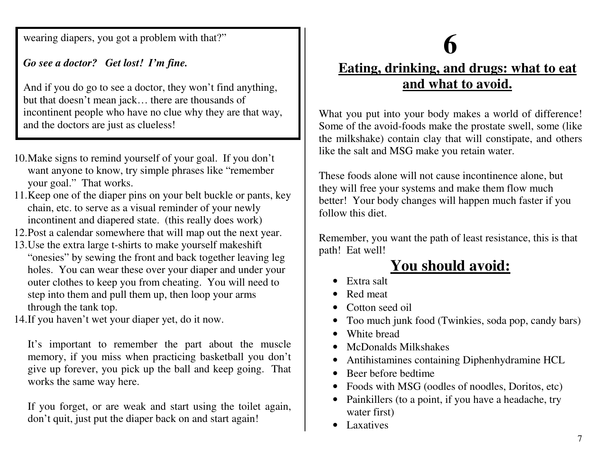wearing diapers, you got a problem with that?"

#### *Go s e e a do cto r ? Get lo st! I'mfin e.*

And if you do go to see a doctor, they won't find anything, but that doesn't mean jack... there are thousands of incontinent people who have no clue why they are that way, and the doctors are just as clueless!

- 10. Make signs to remind yourself of your goal. If you don't want anyone to know, try simple phrases like "remember your goal." That works.
- 11. Keep one of the diaper pins on your belt buckle or pants, key chain, etc. to serve as a visual reminder of your newly incontinent and diapered state. (this really does work)
- 12.Post a calendar somewhere that will map out the next year.
- 13. Use the extra large t-shirts to make yourself makeshift "onesies" by sewing the front and back together leaving leg holes. You can wear these over your diaper and under your outer clothes to keep you from cheating. You will need to step into them and pull them up, then loop your arms through the tank top.
- 14.If you haven't wet your diaper yet, do it now.

It's important to remember the part about the muscle memory, if you miss when practicing basketball you don't give up forever, you pick up the ball and keep going. That works the same way here.

If you forget, or are weak and start using the toilet again, don't quit, just put the diaper back on and start again!

## **6**

## <u>Eating, drinking, and drugs: what to eat</u> **a n d w h a t t o a v oid.**

What you put into your body makes a world of difference! Some of the avoid-foods make the prostate swell, some (like the milkshake) contain clay that will constipate, and others like the salt and MSG make you retain water.

These foods alone will not cause incontinence alone, but they will free your systems and make them flow much better! Your body changes will happen much faster if you follow this diet.

Remember, you want the path of least resistance, this is that p ath! E at well!

## **You should avoid:**

- •Extra salt
- Red meat
- Cotton seed oil
- Too much junk food (Twinkies, soda pop, candy bars)
- White bread
- •McDonalds Milkshakes
- Antihistamines containing Diphenhydramine HCL
- Beer before bedtime
- Foods with MSG (oodles of noodles, Doritos, etc)
- Painkillers (to a point, if you have a headache, try water first)
- Laxatives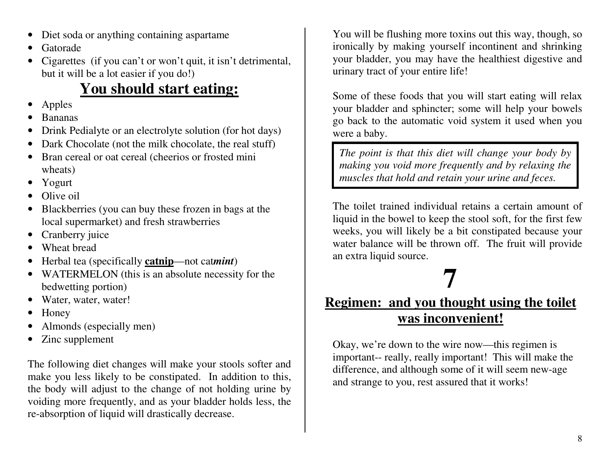- $\bullet$ Diet soda or anything containing aspartame
- •Gatorade
- Cigarettes (if you can't or won't quit, it isn't detrimental, but it will be a lot easier if you do!)

## <u>**You should start eating:**</u>

- •A p ples
- •Bananas
- •Drink Pedialyte or an electrolyte solution (for hot days)
- $\bullet$ Dark Chocolate (not the milk chocolate, the real stuff)
- $\bullet$ Bran cereal or oat cereal (cheerios or frosted mini wheats)
- Yogurt
- $\bullet$ Olive oil
- $\bullet$ Blackberries (you can buy these frozen in bags at the local supermarket) and fresh strawberries
- $\bullet$ Cranberry juice
- $\bullet$ Wheat bread
- $\bullet$ Herbal tea (specifically **catnip**—not cat*mint*)
- WATERMELON (this is an absolute necessity for the bedwetting portion)
- $\bullet$ Water, water, water!
- $\bullet$ Honey
- $\bullet$ Almonds (esp ecially men)
- $\bullet$ Zinc supplement

The following diet changes will make your stools softer and make you less likely to be constipated. In addition to this, the body will adjust to the change of not holding urine by voiding more frequently, and as your bladder holds less, the re-absorption of liquid will drastically decrease.

You will be flushing more toxins out this way, though, so ir onically by making y ourself incontinent and sh rinking your bladder, you may have the healthiest digestive and urinary tract of your entire life!

Some of these foods that you will start eating will relax your bladder and sphincter; some will help your bowels g o b a c k to th e a uto matic v oid syste m it use d wh e n y o u were a baby.

The point is that this diet will change your body by making you void more frequently and by relaxing the muscles that hold and retain your urine and feces.

The toilet trained individual retains a certain amount of liquid in the bowel to keep the stool soft, for the first few weeks, you will likely be a bit constipated because your water balance will be thrown off. The fruit will provide a n e xtr a liq uid so u r c e.

## **7**

## <u>**Regimen: and you thought using the toilet**</u> **was inconvenient!**

Okay, we're down to the wire now—this regimen is important-- really, really important! This will make the difference, and although some of it will seem new-age and strange to you, rest assured that it works!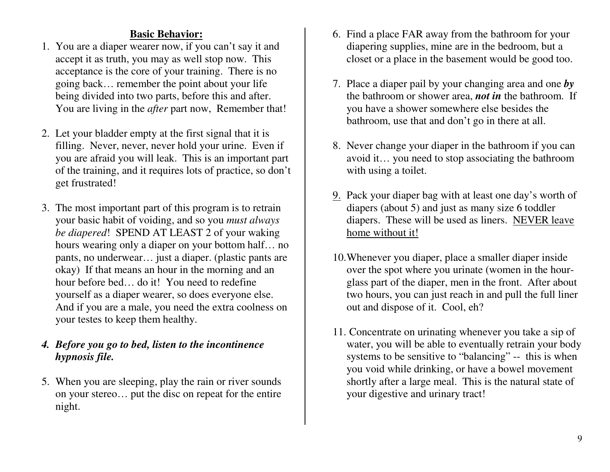#### **Basic Behavior:**

- 1. You are <sup>a</sup> diaper wearer now, if you can't say it and accep<sup>t</sup> it as truth, you may as well stop now. This acceptance is the core of your training. There is no going back… remember the point about your life being divided into two parts, before this and after. You are living in the *after* par<sup>t</sup> now, Remember that!
- 2. Let your bladder empty at the first signal that it is filling. Never, never, never hold your urine. Even if you are afraid you will leak. This is an important par<sup>t</sup> of the training, and it requires lots of practice, so don't ge<sup>t</sup> frustrated!
- 3. The most important par<sup>t</sup> of this program is to retrain your basic habit of voiding, and so you *must always be diapered*! SPEND AT LEAST 2 of your waking hours wearing only <sup>a</sup> diaper on your bottom half… no pants, no underwear… just <sup>a</sup> diaper. (plastic pants are okay) If that means an hour in the morning and an hour before bed… do it! You need to redefine yourself as <sup>a</sup> diaper wearer, so does everyone else. And if you are <sup>a</sup> male, you need the extra coolness on your testes to keep them healthy.

#### *4. Before you go to bed, listen to the incontinence hypnosis file.*

5. When you are sleeping, play the rain or river sounds on your stereo… pu<sup>t</sup> the disc on repea<sup>t</sup> for the entire night.

- 6. Find <sup>a</sup> place FAR away from the bathroom for your diapering supplies, mine are in the bedroom, but <sup>a</sup> closet or a place in the basement would be good too.
- 7. Place <sup>a</sup> diaper pail by your changing area and one *by* the bathroom or shower area, *not in* the bathroom. If you have <sup>a</sup> shower somewhere else besides the bathroom, use that and don't go in there at all.
- 8. Never change your diaper in the bathroom if you can avoid it… you need to stop associating the bathroom with using <sup>a</sup> toilet.
- 9. Pack your diaper bag with at least one day's worth of diapers (about 5) and just as many size 6 toddler diapers. These will be used as liners. NEVER leave home without it!
- 10.Whenever you diaper, place <sup>a</sup> smaller diaper inside over the spo<sup>t</sup> where you urinate (women in the hourglass par<sup>t</sup> of the diaper, men in the front. After about two hours, you can just reach in and pull the full liner out and dispose of it. Cool, eh?
- 11. Concentrate on urinating whenever you take <sup>a</sup> sip of water, you will be able to eventually retrain your body systems to be sensitive to "balancing" -- this is when you void while drinking, or have <sup>a</sup> bowel movement shortly after <sup>a</sup> large meal. This is the natural state of your digestive and urinary tract!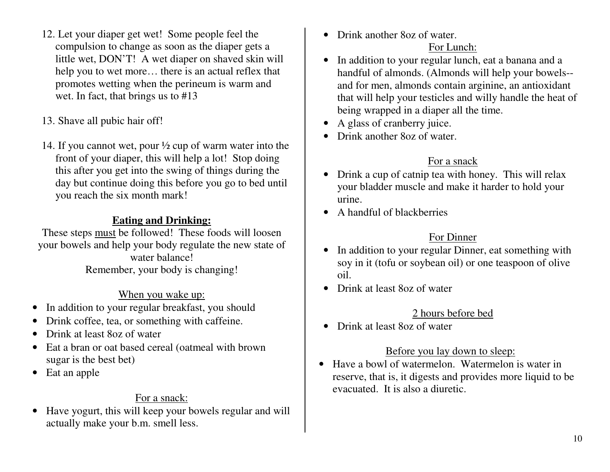- 12. Let your diaper get wet! Some people feel the comp ulsion to chang eas soonas thediap er g ets alittle wet, DON'T! A wet diaper on shaved skin will help you to wet more... there is an actual reflex that promotes wetting when the perineum is warm and w et. In fa ct, th at b rin gs us to #13
- 13. Sha ve all p ubic hair off!
- 14. If you cannot wet, pour  $\frac{1}{2}$  cup of warm water into the front of your diaper, this will help a lot! Stop doing this after you get into the swing of things during the day but continue doing this before you go to bed until you reach the six month mark!

#### **Eating andDrinking:**

These steps must be followed! These foods will loosen your bowels and help your body regulate the new state of water balance! Remember, your body is changing!

#### <u>When you wake up:</u>

- $\bullet$ • In addition to your regular breakfast, you should
- Drink coffee, tea, or something with caffeine.
- Drink at least 8oz of water
- •Eat a bran or oat based cereal (oatmeal with brown sugar is the best bet)
- $\bullet$ E at a n ap ple

#### For a snack:

•Have yogurt, this will keep your bowels regular and will actually makey our b.m. smell less.

• Drink another 8oz of water.

#### For Lunch:

- In addition to your regular lunch, eat a banana and a handful of almonds. (Almonds will help your bowels-and for men, almonds contain arginine, an antioxidant that will help your testicles and willy handle the heat of being wrapped in a diaper all the time.
- •A glass of cranberry juice.
- Drink another 8oz of water.

#### For a snack

- Drink a cup of catnip tea with honey. This will relax your bladder muscle and make it harder to hold your urine.
- A handful of blackberries

#### For Dinner

- In addition to your regular Dinner, eat something with soy in it (tofu or soybean oil) or one teaspoon of olive oil.
- Drink at least 8oz of water

#### 2 hours before bed

• Drink at least 8oz of water

#### <u>Before you lay down to sleep:</u>

• Have a bowl of watermelon. Watermelon is water in reserve, that is, it digests and provides more liquid to be evacuated. It is also a diuretic.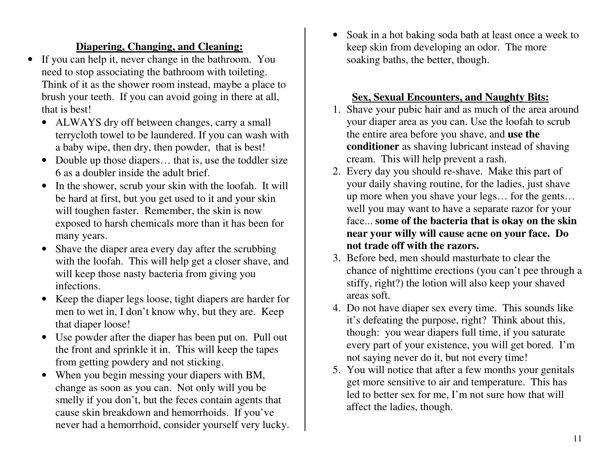#### **<u>Diapering, Changing, and Cleaning:</u>**

- $\bullet$ • If you can help it, never change in the bathroom. You n e e d to sto p asso ciatin g th e b ath r o o m with toiletin g. Think of it as the shower room instead, maybe a place to brush your teeth. If you can avoid going in there at all, that is best!
	- ALWAYS dry off between changes, carry a small terrycloth towel to be laundered. If you can wash with a baby wipe, then dry, then powder, that is best!
	- Double up those diapers... that is, use the toddler size 6 as a doubler inside the adult brief.
	- In the shower, scrub your skin with the loofah. It will be hard at first, but you get used to it and your skin will toughen faster. Remember, the skin is now exposed to harsh chemicals more than it has been for many years.
	- Shave the diaper area every day after the scrubbing with the loofah. This will help get a closer shave, and will keep those nasty bacteria from giving you infections.
	- Keep the diaper legs loose, tight diapers are harder for men to wet in, I d on't knowwhy, b ut they ar e. Keep that diaper loose!
	- Use powder after the diaper has been put on. Pull out the front and sprinkle it in. This will keep the tapes from getting powdery and not sticking.
	- When you begin messing your diapers with BM, change as soon as you can. Not only will you be smelly if you don't, but the feces contain agents that cause skin breakdown and hemorrhoids. If you've never had a hemorrhoid, consider yourself very lucky.

•Soak in a hot baking soda bath at least once a week to keep skin from developing an odor. The more soaking baths, th ebetter, th oug h.

#### <u>Sex, Sexual Encounters, and Naughty Bits:</u>

- 1. Shave your pubic hair and as much of the area around your diaper area as you can. Use the loofah to scrub the entire area before you shave, and **use the conditioner** as shaving lubricant instead of shaving cream. This will help prevent a rash.
- 2. Ever y day y ou sh ouldr e-shave. Make this p art of your daily shaving routine, for the ladies, just shave up more when you shave your legs... for the gents... well you may want to have a separate razor for your face... some of the bacteria that is okay on the skin near your willy will cause acne on your face. Do **not tradeoffwith th erazors.**
- 3. Before bed, men should masturbate to clear the chance of nighttime erections (you can't pee through a stiffy, rig ht?) th e lotio n will also k e e p y o u r sh a v e d areas soft.
- 4. Do not have diaper sex every time. This sounds like it's d e fe atin g th e p u r p ose, rig ht? T hin k ab o ut this, though: you wear diapers full time, if you saturate every part of your existence, you will get bored. I'm not saying never do it, but not every time!
- 5. You will notice that after a few months your genitals get more sensitive to air and temperature. This has led to better sex for me, I'm not sure how that will a ffe ct th e la dies, th o u g h.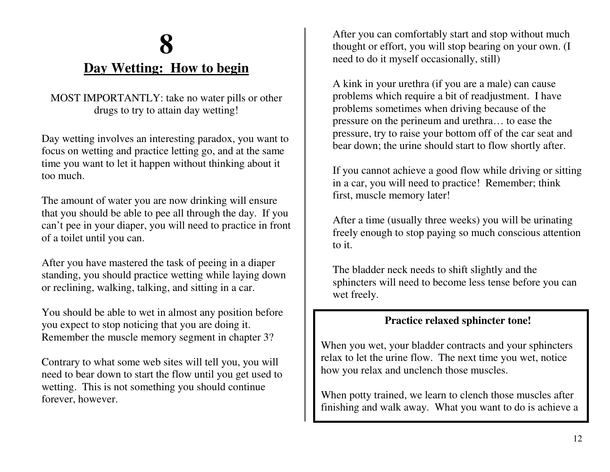## **8Day Wetting: How to begin**

MOST IMPORTANTLY: take no water pills or other drugs to try to attain day wetting!

Day wetting involves an interesting paradox, you want to focus on wetting and practice letting go, and at the same time you want to let it happen without thinking about it too much.

The amount of water you are now drinking will ensure that you should be able to pee all through the day. If you can't pee in your diaper, you will need to practice in front o f a toilet <sup>u</sup> ntil y o u c a n.

After you have mastered the task of peeing in a diaper standing, you should practice wetting while laying down or reclining, walking, talking, and sitting in a car.

You should be able to wet in almost any position before you expect to stop noticing that you are doing it. Remember the muscle memory segment in chapter 3?

Contrary to what some web sites will tell you, you will need to bear down to start the flow until you get used to wetting. This is not something you should continue forever, h owever.

After you can comfortably start and stop without much thought or effort, you will stop bearing on your own. (I n e e d to d o it <sup>m</sup>yself o c c asio n ally, still)

A kink in your urethra (if you are a male) can cause problems which require a bit of readjustment. I have problems sometimes when driving because of the p r essur e on th e p e rine uma ndur ethr a … to e ase the pressure, try to raise your bottom off of the car seat and bear down; the urine should start to flow shortly after.

If you cannot achieve a good flow while driving or sitting in a car, you will need to practice! Remember; think first, muscle memory later!

After a time (usually three weeks) you will be urinating freely enough to stop paying so much conscious attention to it.

The bladder neck needs to shift slightly and the sphincters will need to become less tense before you can wet freely.

#### **Practice relaxed sphincter tone!**

When you wet, your bladder contracts and your sphincters relax to let the urine flow. The next time you wet, notice how you relax and unclench those muscles.

When potty trained, we learn to clench those muscles after finishing and walk away. What you want to do is achieve a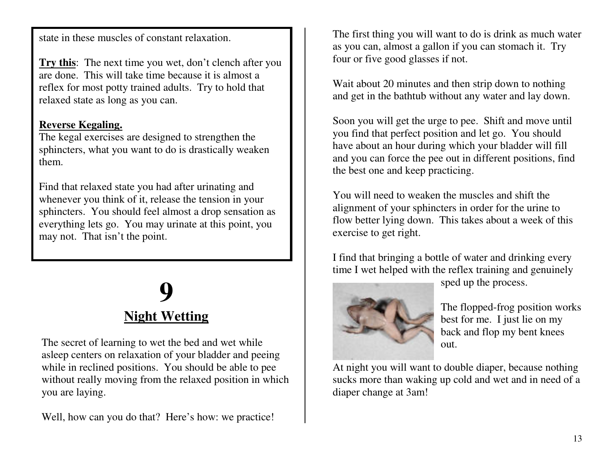state in these muscles of constant relaxation.

**Try this**: The next time you wet, don't clench after you are done. This will take time because it is almost a r e fle x fo r m ost p otty tr ain e d a d ults. T r y to h old th at r ela x e d state as lo n g as y o u c a n.

#### **Re ve r s e Ke g aling.**

Youwant rela**x** edsp

The kegal exercises are designed to strengthen the sphincters, what you want to do is drastically weaken them.

Find that relaxed state you had after urinating and whenever you think of it, release the tension in your sp hin cte rs. Y o u sh o uld fe el alm ost a d r o p se nsatio n as everything lets go. You may urinate at this point, you ma y n ot. T h at isn't th e p oint.

> hincters

## **9Night Wetting**

at all tim

es sowheny our

The secret of learning to wet the bed and wet while asleep centers on relaxation of your bladder and peeing while in reclined positions. You should be able to pee without really moving from the relaxed position in which y o u a r e la yin g.

Well, how can you do that? Here's how: we practice!

The first thing you will want to do is drink as much water as you can, almost a gallon if you can stomach it. Try four or five good glasses if not.

Wait about 20 minutes and then strip down to nothing and get in the bathtub without any water and lay down.

Soon you will get the urge to pee. Shift and move until you find that perfect position and let go. You should h a v e a b o ut a n h o u r d u rin g w hic h y o u r bla d d e r will fill and you can force the pee out in different positions, find the best one and keep practicing.

You will need to weaken the muscles and shift the alig n m e nt o f y o u r sp hin cte rs in o r d e r fo r th e u rin e to flow better lying down. This takes about a week of this exercise to get right.

I find that bringing a bottle of water and drinking every time I wet helped with the reflex training and genuinely



sp e d u p th e p r o c ess.

The flopped-frog position works b est fo r m e. I just lie o n m y b a c k a n d flo p m y b e nt k n e es out.

At night you will want to double diaper, because nothing sucks more than waking up cold and wet and in need of a diaper change at 3am!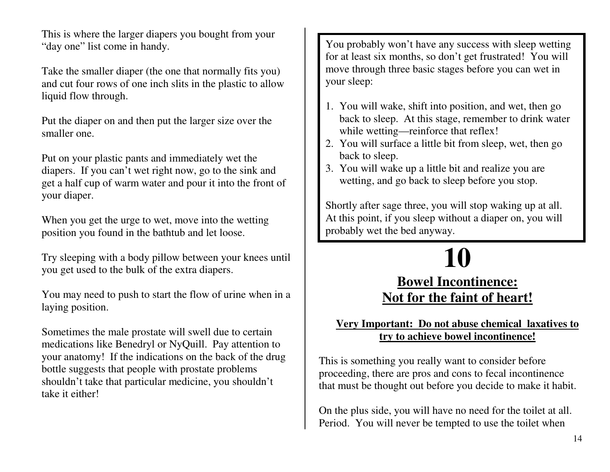This is where the larger diapers you bought from your "day one" list <sup>c</sup> ome inhandy.

Take the smaller diaper (the one that normally fits you) a n d c ut fo u r r o ws o f o n e in c h slits in th e plastic to allo w liquid flow through.

Put the diaper on and then put the larger size over the smaller one.

Put on your plastic pants and immediately wet the diapers. If you can't wet right now, go to the sink and g et a h alf c u p o f w a r m w ate r a n d p o u r it into th e fr o nt o f y o u r diap e r.

When you get the urge to wet, move into the wetting p ositio n y o u fo u n d in th e b athtu b a n d let lo ose.

Try sleeping with a body pillow between your knees until you get used to the bulk of the extra diapers.

You may need to push to start the flow of urine when in a la yin g p ositio n.

Sometimes the male prostate will swell due to certain medications like Benedryl or NyQuill. Pay attention to your anatomy! If the indications on the back of the drug bottle suggests that people with prostate problems shouldn't take that particular medicine, you shouldn't take it either!

You probably won't have any success with sleep wetting for at least six months, so don't get frustrated! You will move through three basic stages before you can wet in y o u r sle e p:

- 1. You will wake, shift into position, and wet, then go back to sle ep. At this sta g e, r emember todrinkwater while wetting—reinforce that reflex!
- 2. You will surface a little bit from sleep, wet, then go b a c k to sle e p.
- 3. You will wake up a little bit and realize you are wetting, and go back to sleep before you stop.

Shortly after sage three, you will stop waking up at all. At this point, if you sleep without a diaper on, you will p r o b ably w et th e b e d a n y w a y.

### **10**

## **Bowel Incontinence:** Not for the faint of heart!

#### <u> Very Important: Do not abuse chemical laxatives to</u> **<u><b>try to achieve bowel incontinence!**</u>

This is something you really want to consider before proceeding, there are pros and cons to fecal incontinence that must be thought out before you decide to make it habit.

O n th e plus sid e, y o u will h a v e n o n e e d fo r th e toilet at all. Period. You will never be tempted to use the toilet when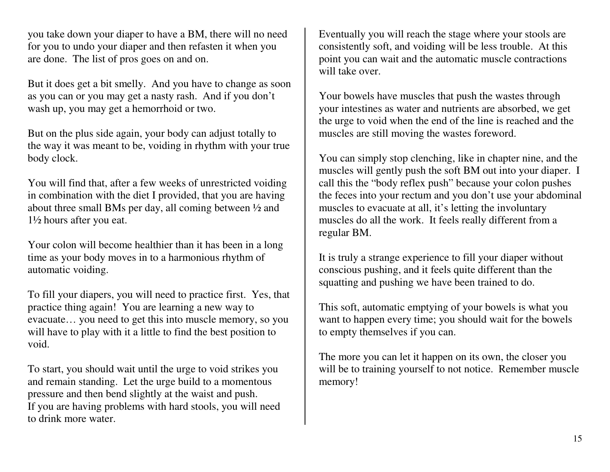you take down your diaper to have <sup>a</sup> BM, there will no need for you to undo your diaper and then refasten it when you are done. The list of pros goes on and on.

But it does ge<sup>t</sup> <sup>a</sup> bit smelly. And you have to change as soon as you can or you may ge<sup>t</sup> <sup>a</sup> nasty rash. And if you don't wash up, you may ge<sup>t</sup> <sup>a</sup> hemorrhoid or two.

But on the plus side again, your body can adjust totally to the way it was meant to be, voiding in rhythm with your true body clock.

You will find that, after <sup>a</sup> few weeks of unrestricted voiding in combination with the diet I provided, that you are having about three small BMs per day, all coming between ½ and 1½ hours after you eat.

Your colon will become healthier than it has been in <sup>a</sup> long time as your body moves in to <sup>a</sup> harmonious rhythm of automatic voiding.

To fill your diapers, you will need to practice first. Yes, that practice thing again! You are learning <sup>a</sup> new way to evacuate… you need to ge<sup>t</sup> this into muscle memory, so you will have to play with it <sup>a</sup> little to find the best position to void.

To start, you should wait until the urge to void strikes you and remain standing. Let the urge build to <sup>a</sup> momentous pressure and then bend slightly at the waist and push. If you are having problems with hard stools, you will need to drink more water.

Eventually you will reach the stage where your stools are consistently soft, and voiding will be less trouble. At this point you can wait and the automatic muscle contractions will take over.

Your bowels have muscles that push the wastes through your intestines as water and nutrients are absorbed, we ge<sup>t</sup> the urge to void when the end of the line is reached and the muscles are still moving the wastes foreword.

You can simply stop clenching, like in chapter nine, and the muscles will gently push the soft BM out into your diaper. I call this the "body reflex push" because your colon pushes the feces into your rectum and you don't use your abdominal muscles to evacuate at all, it's letting the involuntary muscles do all the work. It feels really different from <sup>a</sup> regular BM.

It is truly <sup>a</sup> strange experience to fill your diaper without conscious pushing, and it feels quite different than the squatting and pushing we have been trained to do.

This soft, automatic emptying of your bowels is what you want to happen every time; you should wait for the bowels to empty themselves if you can.

The more you can let it happen on its own, the closer you will be to training yourself to not notice. Remember muscle memory!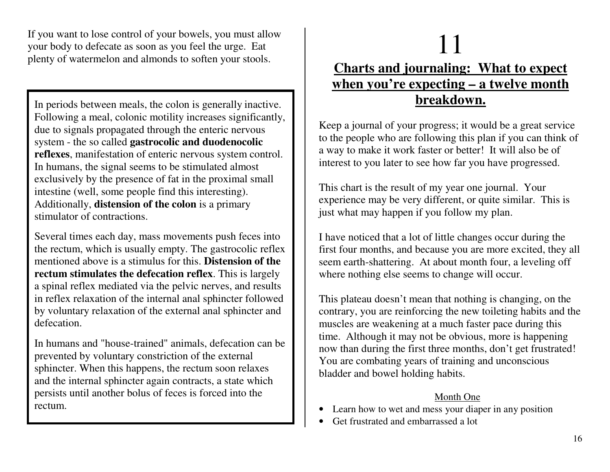If you want to lose control of your bowels, you must allow your body to defecate as soon as you feel the urge. Eat plenty of watermelon and almonds to soften your stools.

In periods between meals, the colon is generally inactive. Following a meal, colonic motility increases significantly, due to signals propagated through the enteric nervous **system - the so called <b>gastrocolic and duodenocolic reflexes**, manifestation of enteric nervous system control. In humans, the signal seems to be stimulated almost exclusively by the presence of fat in the proximal small intestine (well, some people find this interesting). Additionally, **distension of the colon** is a primary stimulator of contractions.

S e v e r al times e a c h d a y, <sup>m</sup> ass mo v e me nts p ush fe c es into the rectum, which is usually empty. The gastrocolic reflex mentionedabove is <sup>a</sup> stimulus for this. **Distensionof therectum stimulates the defecation reflex**. This is largely a spinal reflex mediated via the pelvic nerves, and results in reflex relaxation of the internal anal sphincter followed by voluntary relaxation of the external anal sphincter and defecation.

In humans and "house-trained" animals, defecation can be prevented by voluntary constriction of the external sphincter. When this happens, the rectum soon relaxes and the internal sphincter again contracts, a state which persists until another bolus of feces is forced into the rectum.

# 1

## $\begin{array}{c|c} 1 & 1 \\ 1 & 1 \end{array}$ <u>**Charts and journaling: What to expect**</u> <u>when you're expecting – a twelve month</u> **b r e a k d o w n.**

Keep a journal of your progress; it would be a great service to the people who are following this plan if you can think of a way to make it work faster or better! It will also be of interest to you later to see how far you have progressed.

This chart is the result of my year one journal. Your experience may be very different, or quite similar. This is just <sup>w</sup> h at ma y h a p p e n if y o u follo wmy pla n.

I have noticed that a lot of little changes occur during the first four months, and because you are more excited, they all seem earth-shattering. At about month four, a leveling off where nothing else seems to change will occur.

This plateau doesn't mean that nothing is changing, on the contrary, you are reinforcing the new toileting habits and the muscles are weakening at a much faster pace during this time. Although it may not be obvious, more is happening now than during the first three months, don't get frustrated! You are combating years of training and unconscious bladder and bowel holding habits.

#### Month One

- Learn how to wet and mess your diaper in any position
- •Get frustrated and embarrassed a lot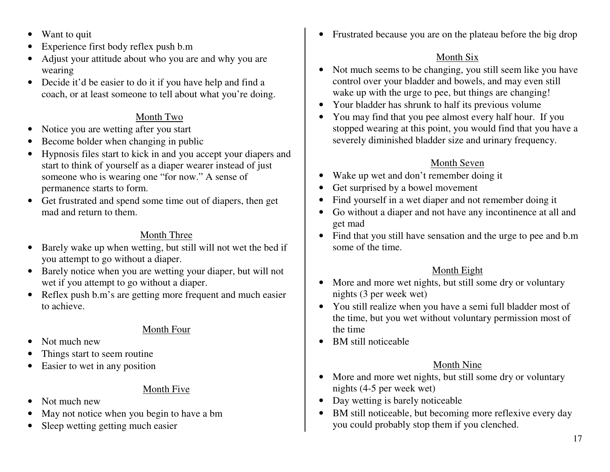- $\bullet$ • Want to quit
- •Experience first body reflex push b.m
- $\bullet$  Adjust your attitude about who you are and why you are wearing
- Decide it'd be easier to do it if you have help and find a coach, or at least someone to tell about what you're doing.

#### Month Two

- •Notice you are wetting after you start
- •• Become bolder when changing in public
- $\bullet$  Hypnosis files start to kick in and you accep<sup>t</sup> your diapers and start to think of yourself as <sup>a</sup> diaper wearer instead of just someone who is wearing one "for now." A sense of permanence starts to form.
- Get frustrated and spend some time out of diapers, then ge<sup>t</sup> mad and return to them.

#### Month Three

- $\bullet$  Barely wake up when wetting, but still will not wet the bed if you attempt to go without <sup>a</sup> diaper.
- $\bullet$  Barely notice when you are wetting your diaper, but will not wet if you attempt to go without <sup>a</sup> diaper.
- $\bullet$ • Reflex push b.m's are getting more frequent and much easier to achieve.

#### Month Four

- •• Not much new
- •Things start to seem routine
- $\bullet$ • Easier to wet in any position

#### Month Five

- •• Not much new
- •May not notice when you begin to have <sup>a</sup> bm
- $\bullet$ Sleep wetting getting much easier

• Frustrated because you are on the plateau before the big drop

#### Month Six

- Not much seems to be changing, you still seem like you have control over your bladder and bowels, and may even still wake up with the urge to pee, but things are changing!
- Your bladder has shrunk to half its previous volume
- You may find that you pee almost every half hour. If you stopped wearing at this point, you would find that you have <sup>a</sup> severely diminished bladder size and urinary frequency.

#### Month Seven

- Wake up wet and don't remember doing it
- $\bullet$ Get surprised by <sup>a</sup> bowel movement
- $\bullet$ • Find yourself in a wet diaper and not remember doing it
- $\bullet$  Go without <sup>a</sup> diaper and not have any incontinence at all and ge<sup>t</sup> mad
- Find that you still have sensation and the urge to pee and b.m some of the time.

#### <u>Month Eight</u>

- More and more wet nights, but still some dry or voluntary nights (3 per week wet)
- You still realize when you have a semi full bladder most of the time, but you wet without voluntary permission most of the time
- BM still noticeable

#### Month Nine

- More and more wet nights, but still some dry or voluntary nights (4-5 per week wet)
- Day wetting is barely noticeable
- BM still noticeable, but becoming more reflexive every day you could probably stop them if you clenched.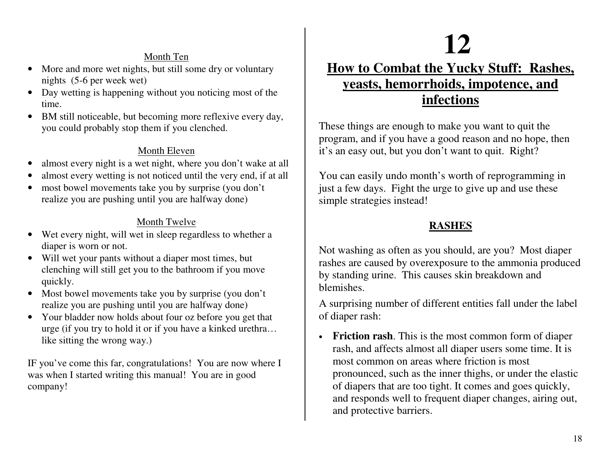#### Month Ten

- $\bullet$ M ore a n d m ore w et nig hts, b ut still so m e dry or v olu ntary nights (5-6 per week wet)
- Day wetting is happening without you noticing most of the time.
- BM still noticeable, but becoming more reflexive every day, you could probably stop them if you clenched.

#### Month Eleven

- •alm ost e v ery nig ht is a w et nig ht, <sup>w</sup> h ere y o u d o n't w a k e at all
- •almost e v ery wettin g is <sup>n</sup> ot n otic e d u ntil th e v ery e n d, if at all
- •most bowel movements take you by surprise (you don't realize you are pushing until you are halfway done)

#### <u>Month Twelve</u>

- $\bullet$ Wet every night, will wet in sleep regardless to whether a dia p er is worn or n ot.
- Will wet your pants without a diaper most times, but clenching will still get you to the bathroom if you move q uic kly.
- Most bowel movements take you by surprise (you don't realize you are pushing until you are halfway done)
- Your bladder now holds about four oz before you get that urg e (if y ou try to hold it or if y ouhaveakinkedurethra…like sitting the wrong way.)

IF you've come this far, congratulations! You are now where I was when I started writing this manual! You are in good company!

# **12**

## <u>How to Combat the Yucky Stuff: Rashes,</u> <u>yeasts, hemorrhoids, impotence, and</u> **in fe c tio n s**

These things are enough to make you want to quit the program, and if you have a good reason and no hope, then it's an easy out, but you don't want to quit. Right?

You can easily undo month's worth of reprogramming in just a few days. Fight the urge to give up and use these simple strategies instead!

#### **RASHES**

Not washing as often as you should, are you? Most diaper rashes are caused by overexposure to the ammonia produced by standing urine. This causes skin breakdown and blemishes.

A surprising number of different entities fall under the label o f diap e r r ash:

• Friction rash. This is the most common form of diaper rash, and affects almost all diaper users some time. It is most common on areas where friction is most pronounced, such as the inner thighs, or under the elastic of diapers that are too tight. It comes and goes quickly, and responds well to frequent diaper changes, airing out, and protective barriers.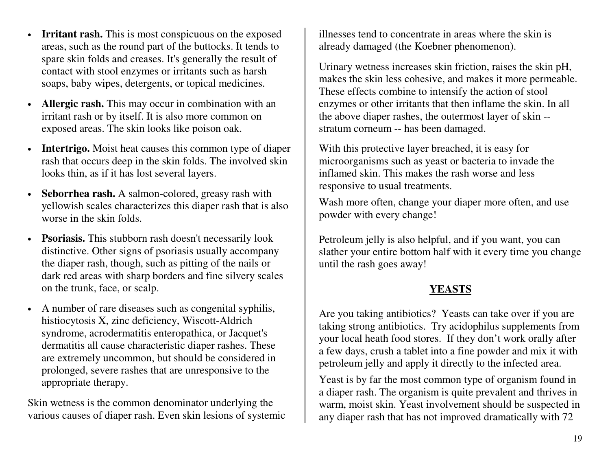- •• Irritant rash. This is most conspicuous on the exposed areas, such as the round part of the buttocks. It tends to spare skin folds and creases. It's generally the result of contact with sto ol enzy mes or ir ritants suchas harshsoaps, baby wipes, detergents, or topical medicines.
- •• **Allergic rash.** This may occur in combination with an ir rita nt r ash o r b y itself. It is also mo r e c o mmo n o n exposed areas. The skin looks like poison oak.
- Intertrigo. Moist heat causes this common type of diaper rash that occurs deep in the skin folds. The involved skin looks thin, as if it has lost several layers.
- Seborrhea rash. A salmon-colored, greasy rash with y ello wish sc ales c h ar a cte riz es this diap e r r ash th at is also worse in the skin folds.
- **Psoriasis.** This stubborn rash doesn't necessarily look distinctive. Other sig ns of pso riasis usually accomp any the diaper rash, though, such as pitting of the nails or dark red areas with sharp borders and fine silvery scales on th e trunk, fa ce, o r scalp.
- A number of rare diseases such as congenital syphilis, histiocytosis X, zinc deficiency, Wiscott-Aldrich syndrome, acrodermatitis enteropathica, or Jacquet's dermatitis all cause characteristic diaper rashes. These are extremely uncommon, but should be considered in prolonged, severe rashes that are unresponsive to the appropriate therapy.

Skin wetness is the common denominator underlying the various causes of diaper rash. Even skin lesions of systemic illnesses tend to concentrate in areas where the skin is already damaged (the Koebner phenomenon).

Urinary wetness increases skin friction, raises the skin pH, makes the skin less cohesive, and makes it more permeable. These effects combine to intensify the action of stool enzymes or other irritants that then inflame the skin. In all the above diaper rashes, the outermost layer of skin -stratum corneum -- has been damaged.

With this protective layer breached, it is easy for microorganisms such as yeast or bacteria to invade the inflamed skin. This makes the rash worse and less responsive to usual treatments.

Wash more often, change your diaper more often, and use powder with every change!

Petroleum jelly is also helpful, and if you want, you can slather your entire bottom half with it every time you change u ntil th e r ash g o es a wa y!

#### **YEASTS**

Are you taking antibiotics? Yeasts can take over if you are taking strong antibiotics. Try acidophilus supplements from your local heath food stores. If they don't work orally after a few days, crush a tablet into a fine powder and mix it with petroleum jelly and apply it directly to the infected area.

Yeast is by far the most common type of organism found in a diaper rash. The organism is quite prevalent and thrives in wa r m, m oist skin. Ye ast in v olv e me nt sh o uld b e susp e cte d in any diaper rash that has not improved dramatically with 72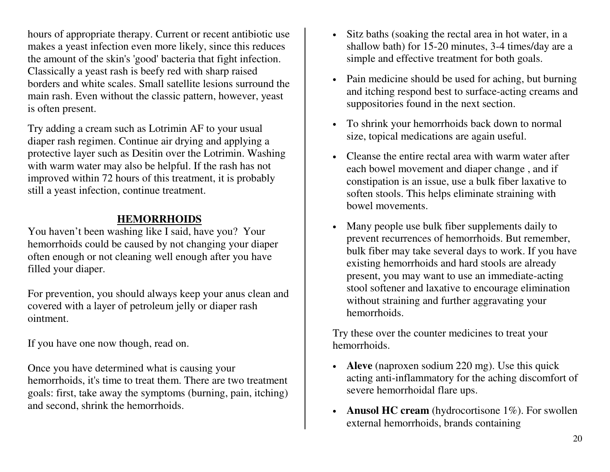hours of appropriate therapy. Current or recent antibiotic use makes a yeast infection even more likely, since this reduces the amount of the skin's 'good' bacteria that fight infection. Classically a yeast rash is beefy red with sharp raised borders and white scales. Small satellite lesions surround the main rash. Even without the classic pattern, however, yeast is often present.

Try adding a cream such as Lotrimin AF to your usual diaper rash regimen. Continue air drying and applying a protective layer such as Desitin over the Lotrimin. Washing with warm water may also be helpful. If the rash has not improved within 72 hours of this treatment, it is probably still a yeast infection, continue treatment.

#### **HEMORRHOIDS**

You haven't been washing like I said, have you? Your hemorrhoids could be caused by not changing your diaper often enough or not cleaning well enough after you have filled your diaper.

For prevention, you should always keep your anus clean and covered with a layer of petroleum jelly or diaper rash ointment.

If you have one now though, read on.

Once you have determined what is causing your hemorrhoids, it's time to treat them. There are two treatment g o als: first, ta k e a w a y th e sy mpto ms (b u r nin g, p ain, itc hin g) and second, shrink the hemorrhoids.

- Sitz baths (soaking the rectal area in hot water, in a shallow bath) for 15-20 minutes, 3-4 times/day are a simple and effective treatment for both goals.
- Pain medicine should be used for aching, but burning and itching respond best to surface-acting creams and suppositories found in the next section.
- To shrink your hemorrhoids back down to normal siz e, to pic al m e dic atio ns a r e a g ain use ful.
- Cleanse the entire rectal area with warm water after each bowel movement and diaper change , and if c o nstip atio n is <sup>a</sup> n issu e, use a b ulk fib e r la x ativ e to so fte n sto ols. T his h elps elimin ate str ainin g with bowel movements.
- Many people use bulk fiber supplements daily to prevent recurrences of hemorrhoids. But remember, bulk fiber may take several days to work. If you have existing hemorrhoids and hard stools are already p r ese nt, y o u ma y wa nt to use a n imme diate-a ctin g stool softener and laxative to encourage elimination without straining and further aggravating your hemorrhoids.

Try these over the counter medicines to treat your hemorrhoids.

- **Aleve** (naproxen sodium 220 mg). Use this quick acting anti-inflammatory for the aching discomfort of severe hemorrhoidal flare ups.
- **Anusol HC cream** (hydrocortisone 1%). For swollen external hemorrhoids, brands containing